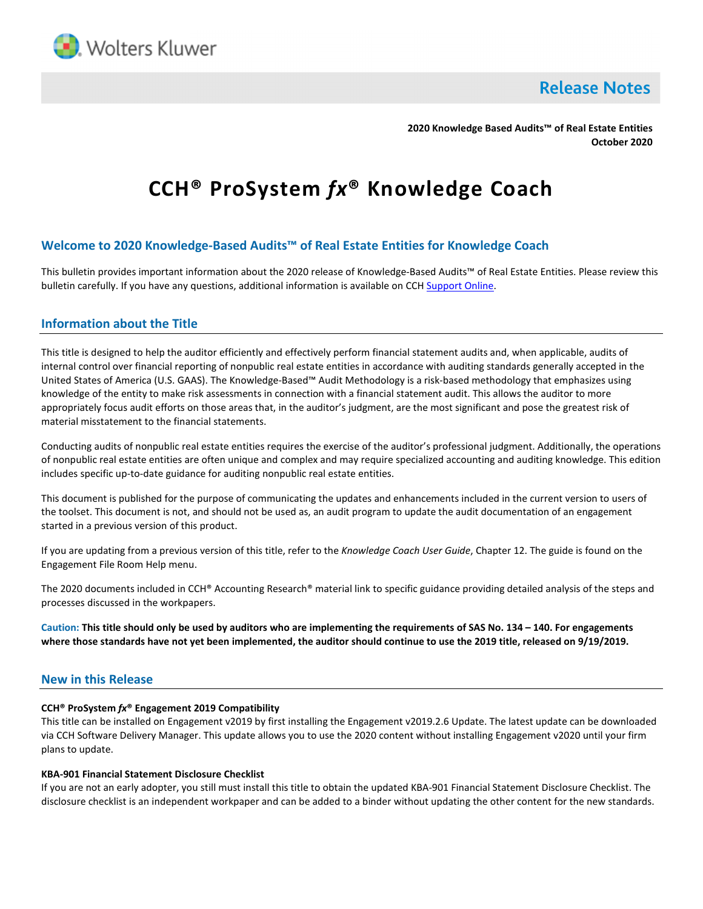

**Release Notes** 

**2020 Knowledge Based Audits™ of Real Estate Entities October 2020**

# **CCH® ProSystem** *fx***® Knowledge Coach**

# **Welcome to 2020 Knowledge-Based Audits™ of Real Estate Entities for Knowledge Coach**

This bulletin provides important information about the 2020 release of Knowledge-Based Audits™ of Real Estate Entities. Please review this bulletin carefully. If you have any questions, additional information is available on CC[H Support Online.](http://support.cch.com/productsupport/)

## **Information about the Title**

This title is designed to help the auditor efficiently and effectively perform financial statement audits and, when applicable, audits of internal control over financial reporting of nonpublic real estate entities in accordance with auditing standards generally accepted in the United States of America (U.S. GAAS). The Knowledge-Based™ Audit Methodology is a risk-based methodology that emphasizes using knowledge of the entity to make risk assessments in connection with a financial statement audit. This allows the auditor to more appropriately focus audit efforts on those areas that, in the auditor's judgment, are the most significant and pose the greatest risk of material misstatement to the financial statements.

Conducting audits of nonpublic real estate entities requires the exercise of the auditor's professional judgment. Additionally, the operations of nonpublic real estate entities are often unique and complex and may require specialized accounting and auditing knowledge. This edition includes specific up-to-date guidance for auditing nonpublic real estate entities.

This document is published for the purpose of communicating the updates and enhancements included in the current version to users of the toolset. This document is not, and should not be used as, an audit program to update the audit documentation of an engagement started in a previous version of this product.

If you are updating from a previous version of this title, refer to the *Knowledge Coach User Guide*, Chapter 12. The guide is found on the Engagement File Room Help menu.

The 2020 documents included in CCH® Accounting Research® material link to specific guidance providing detailed analysis of the steps and processes discussed in the workpapers.

**Caution: This title should only be used by auditors who are implementing the requirements of SAS No. 134 – 140. For engagements where those standards have not yet been implemented, the auditor should continue to use the 2019 title, released on 9/19/2019.**

## **New in this Release**

### **CCH® ProSystem** *fx***® Engagement 2019 Compatibility**

This title can be installed on Engagement v2019 by first installing the Engagement v2019.2.6 Update. The latest update can be downloaded via CCH Software Delivery Manager. This update allows you to use the 2020 content without installing Engagement v2020 until your firm plans to update.

#### **KBA-901 Financial Statement Disclosure Checklist**

If you are not an early adopter, you still must install this title to obtain the updated KBA-901 Financial Statement Disclosure Checklist. The disclosure checklist is an independent workpaper and can be added to a binder without updating the other content for the new standards.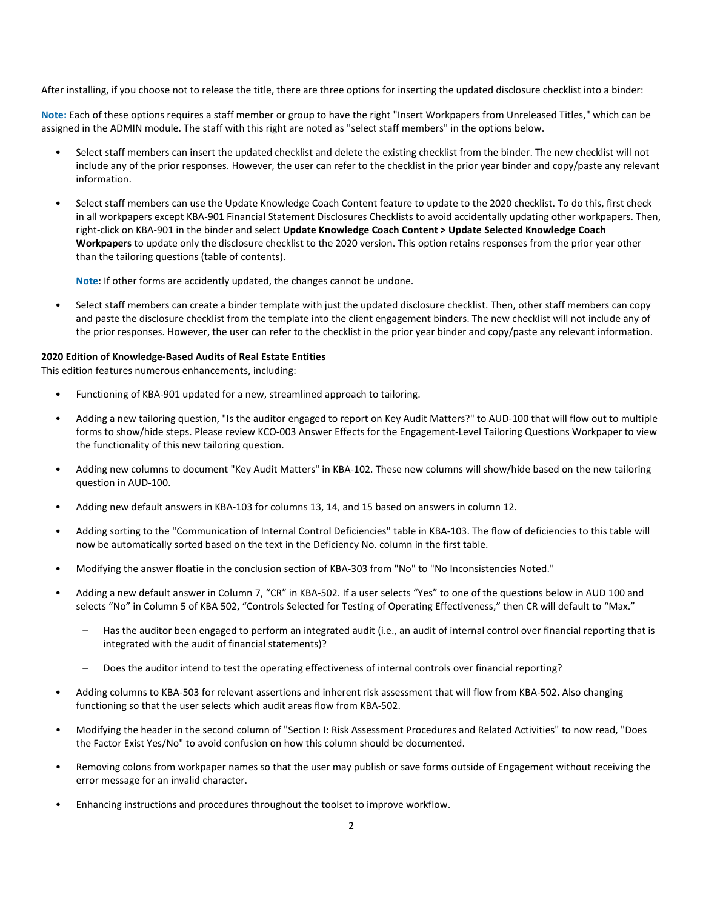After installing, if you choose not to release the title, there are three options for inserting the updated disclosure checklist into a binder:

**Note:** Each of these options requires a staff member or group to have the right "Insert Workpapers from Unreleased Titles," which can be assigned in the ADMIN module. The staff with this right are noted as "select staff members" in the options below.

- Select staff members can insert the updated checklist and delete the existing checklist from the binder. The new checklist will not include any of the prior responses. However, the user can refer to the checklist in the prior year binder and copy/paste any relevant information.
- Select staff members can use the Update Knowledge Coach Content feature to update to the 2020 checklist. To do this, first check in all workpapers except KBA-901 Financial Statement Disclosures Checklists to avoid accidentally updating other workpapers. Then, right-click on KBA-901 in the binder and select **Update Knowledge Coach Content > Update Selected Knowledge Coach Workpapers** to update only the disclosure checklist to the 2020 version. This option retains responses from the prior year other than the tailoring questions (table of contents).

**Note**: If other forms are accidently updated, the changes cannot be undone.

• Select staff members can create a binder template with just the updated disclosure checklist. Then, other staff members can copy and paste the disclosure checklist from the template into the client engagement binders. The new checklist will not include any of the prior responses. However, the user can refer to the checklist in the prior year binder and copy/paste any relevant information.

#### **2020 Edition of Knowledge-Based Audits of Real Estate Entities**

This edition features numerous enhancements, including:

- Functioning of KBA-901 updated for a new, streamlined approach to tailoring.
- Adding a new tailoring question, "Is the auditor engaged to report on Key Audit Matters?" to AUD-100 that will flow out to multiple forms to show/hide steps. Please review KCO-003 Answer Effects for the Engagement-Level Tailoring Questions Workpaper to view the functionality of this new tailoring question.
- Adding new columns to document "Key Audit Matters" in KBA-102. These new columns will show/hide based on the new tailoring question in AUD-100.
- Adding new default answers in KBA-103 for columns 13, 14, and 15 based on answers in column 12.
- Adding sorting to the "Communication of Internal Control Deficiencies" table in KBA-103. The flow of deficiencies to this table will now be automatically sorted based on the text in the Deficiency No. column in the first table.
- Modifying the answer floatie in the conclusion section of KBA-303 from "No" to "No Inconsistencies Noted."
- Adding a new default answer in Column 7, "CR" in KBA-502. If a user selects "Yes" to one of the questions below in AUD 100 and selects "No" in Column 5 of KBA 502, "Controls Selected for Testing of Operating Effectiveness," then CR will default to "Max."
	- Has the auditor been engaged to perform an integrated audit (i.e., an audit of internal control over financial reporting that is integrated with the audit of financial statements)?
	- Does the auditor intend to test the operating effectiveness of internal controls over financial reporting?
- Adding columns to KBA-503 for relevant assertions and inherent risk assessment that will flow from KBA-502. Also changing functioning so that the user selects which audit areas flow from KBA-502.
- Modifying the header in the second column of "Section I: Risk Assessment Procedures and Related Activities" to now read, "Does the Factor Exist Yes/No" to avoid confusion on how this column should be documented.
- Removing colons from workpaper names so that the user may publish or save forms outside of Engagement without receiving the error message for an invalid character.
- Enhancing instructions and procedures throughout the toolset to improve workflow.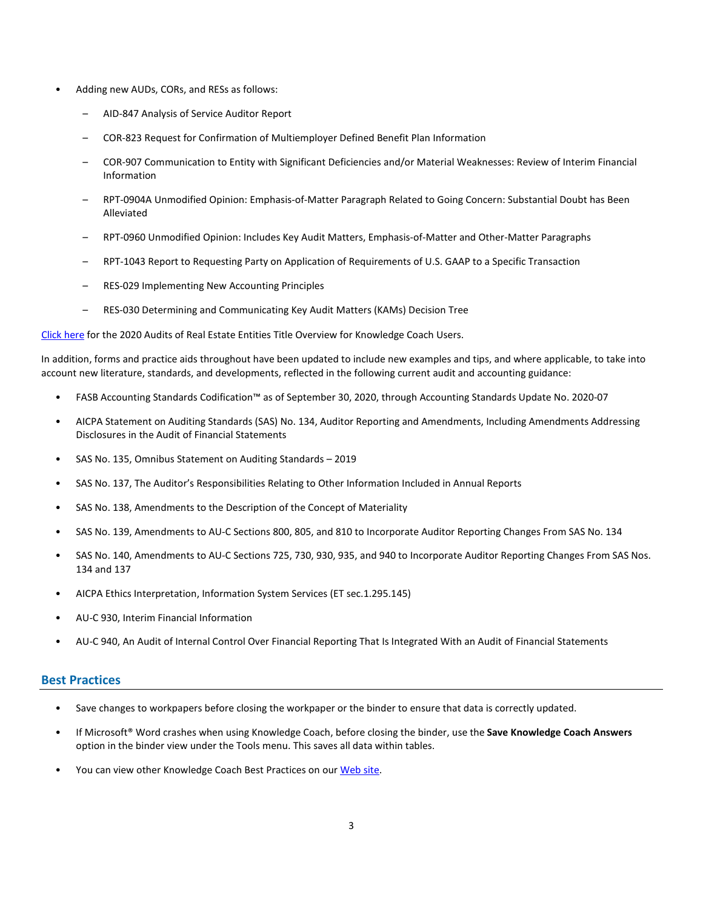- Adding new AUDs, CORs, and RESs as follows:
	- AID-847 Analysis of Service Auditor Report
	- COR-823 Request for Confirmation of Multiemployer Defined Benefit Plan Information
	- COR-907 Communication to Entity with Significant Deficiencies and/or Material Weaknesses: Review of Interim Financial Information
	- RPT-0904A Unmodified Opinion: Emphasis-of-Matter Paragraph Related to Going Concern: Substantial Doubt has Been Alleviated
	- RPT-0960 Unmodified Opinion: Includes Key Audit Matters, Emphasis-of-Matter and Other-Matter Paragraphs
	- RPT-1043 Report to Requesting Party on Application of Requirements of U.S. GAAP to a Specific Transaction
	- RES-029 Implementing New Accounting Principles
	- RES-030 Determining and Communicating Key Audit Matters (KAMs) Decision Tree

[Click here](http://support.cch.com/updates/KnowledgeCoach/pdf/guides_tab/2020%20Real%20Estate%20Entities%20Title%20Overview%20for%20Knowledge%20Coach%20Users.pdf) for the 2020 Audits of Real Estate Entities Title Overview for Knowledge Coach Users.

In addition, forms and practice aids throughout have been updated to include new examples and tips, and where applicable, to take into account new literature, standards, and developments, reflected in the following current audit and accounting guidance:

- FASB Accounting Standards Codification™ as of September 30, 2020, through Accounting Standards Update No. 2020-07
- AICPA Statement on Auditing Standards (SAS) No. 134, Auditor Reporting and Amendments, Including Amendments Addressing Disclosures in the Audit of Financial Statements
- SAS No. 135, Omnibus Statement on Auditing Standards 2019
- SAS No. 137, The Auditor's Responsibilities Relating to Other Information Included in Annual Reports
- SAS No. 138, Amendments to the Description of the Concept of Materiality
- SAS No. 139, Amendments to AU-C Sections 800, 805, and 810 to Incorporate Auditor Reporting Changes From SAS No. 134
- SAS No. 140, Amendments to AU-C Sections 725, 730, 930, 935, and 940 to Incorporate Auditor Reporting Changes From SAS Nos. 134 and 137
- AICPA Ethics Interpretation, Information System Services (ET sec.1.295.145)
- AU-C 930, Interim Financial Information
- AU-C 940, An Audit of Internal Control Over Financial Reporting That Is Integrated With an Audit of Financial Statements

## **Best Practices**

- Save changes to workpapers before closing the workpaper or the binder to ensure that data is correctly updated.
- If Microsoft® Word crashes when using Knowledge Coach, before closing the binder, use the **Save Knowledge Coach Answers** option in the binder view under the Tools menu. This saves all data within tables.
- You can view other Knowledge Coach Best Practices on ou[r Web](https://support.cch.com/kb/solution/000034942/sw34947) site.